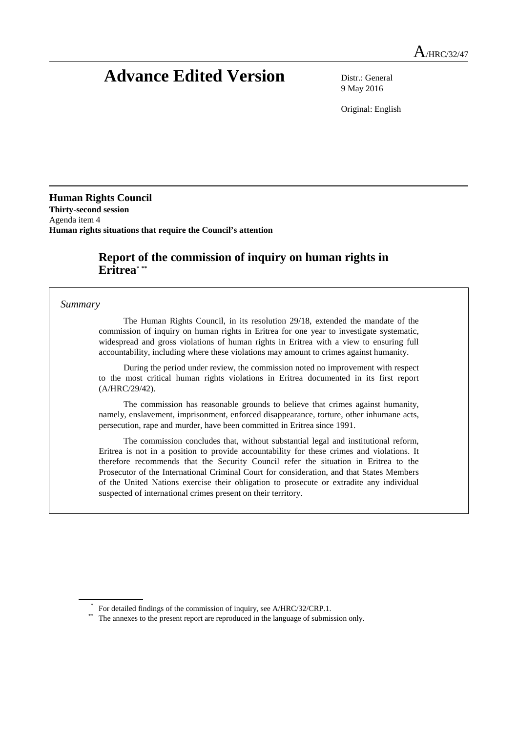# **Advance Edited Version** Distr.: General

9 May 2016

Original: English

**Human Rights Council Thirty-second session** Agenda item 4 **Human rights situations that require the Council's attention**

# **Report of the commission of inquiry on human rights in Eritrea\* \*\***

#### *Summary*

The Human Rights Council, in its resolution 29/18, extended the mandate of the commission of inquiry on human rights in Eritrea for one year to investigate systematic, widespread and gross violations of human rights in Eritrea with a view to ensuring full accountability, including where these violations may amount to crimes against humanity.

During the period under review, the commission noted no improvement with respect to the most critical human rights violations in Eritrea documented in its first report (A/HRC/29/42).

The commission has reasonable grounds to believe that crimes against humanity, namely, enslavement, imprisonment, enforced disappearance, torture, other inhumane acts, persecution, rape and murder, have been committed in Eritrea since 1991.

The commission concludes that, without substantial legal and institutional reform, Eritrea is not in a position to provide accountability for these crimes and violations. It therefore recommends that the Security Council refer the situation in Eritrea to the Prosecutor of the International Criminal Court for consideration, and that States Members of the United Nations exercise their obligation to prosecute or extradite any individual suspected of international crimes present on their territory.

<sup>\*</sup> For detailed findings of the commission of inquiry, see A/HRC/32/CRP.1.

<sup>\*\*</sup> The annexes to the present report are reproduced in the language of submission only.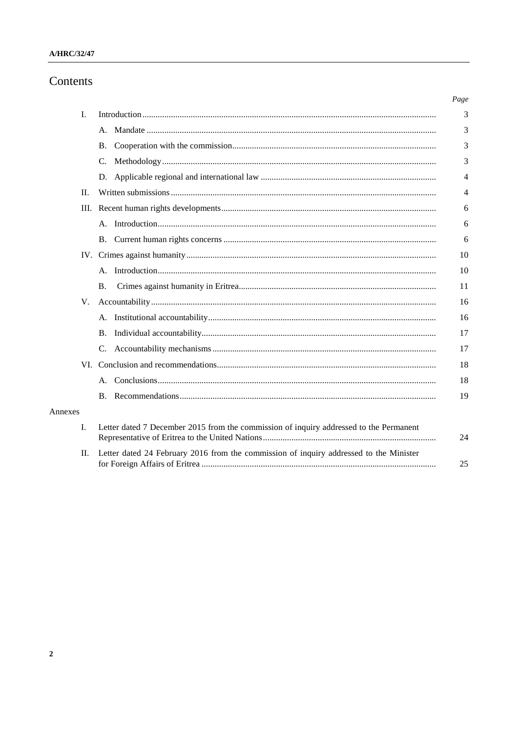# Contents

|         |                                                                                        | Page |
|---------|----------------------------------------------------------------------------------------|------|
| I.      |                                                                                        | 3    |
|         |                                                                                        | 3    |
|         | <b>B.</b>                                                                              | 3    |
|         | C.                                                                                     | 3    |
|         |                                                                                        | 4    |
| П.      |                                                                                        | 4    |
|         |                                                                                        | 6    |
|         |                                                                                        | 6    |
|         |                                                                                        | 6    |
|         |                                                                                        | 10   |
|         |                                                                                        | 10   |
|         | <b>B.</b>                                                                              | 11   |
| V.      |                                                                                        | 16   |
|         |                                                                                        | 16   |
|         | <b>B.</b>                                                                              | 17   |
|         | C.                                                                                     | 17   |
|         |                                                                                        | 18   |
|         |                                                                                        | 18   |
|         |                                                                                        | 19   |
| Annexes |                                                                                        |      |
| I.      | Letter dated 7 December 2015 from the commission of inquiry addressed to the Permanent | 24   |
| П.      | Letter dated 24 February 2016 from the commission of inquiry addressed to the Minister | 25   |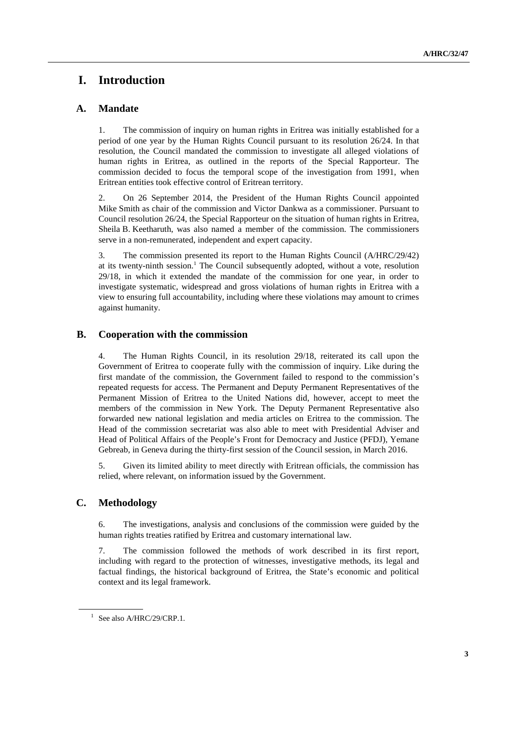# **I. Introduction**

# **A. Mandate**

1. The commission of inquiry on human rights in Eritrea was initially established for a period of one year by the Human Rights Council pursuant to its resolution 26/24. In that resolution, the Council mandated the commission to investigate all alleged violations of human rights in Eritrea, as outlined in the reports of the Special Rapporteur. The commission decided to focus the temporal scope of the investigation from 1991, when Eritrean entities took effective control of Eritrean territory.

2. On 26 September 2014, the President of the Human Rights Council appointed Mike Smith as chair of the commission and Victor Dankwa as a commissioner. Pursuant to Council resolution 26/24, the Special Rapporteur on the situation of human rights in Eritrea, Sheila B. Keetharuth, was also named a member of the commission. The commissioners serve in a non-remunerated, independent and expert capacity.

3. The commission presented its report to the Human Rights Council (A/HRC/29/42) at its twenty-ninth session. <sup>1</sup> The Council subsequently adopted, without a vote, resolution 29/18, in which it extended the mandate of the commission for one year, in order to investigate systematic, widespread and gross violations of human rights in Eritrea with a view to ensuring full accountability, including where these violations may amount to crimes against humanity.

# **B. Cooperation with the commission**

4. The Human Rights Council, in its resolution 29/18, reiterated its call upon the Government of Eritrea to cooperate fully with the commission of inquiry. Like during the first mandate of the commission, the Government failed to respond to the commission's repeated requests for access. The Permanent and Deputy Permanent Representatives of the Permanent Mission of Eritrea to the United Nations did, however, accept to meet the members of the commission in New York. The Deputy Permanent Representative also forwarded new national legislation and media articles on Eritrea to the commission. The Head of the commission secretariat was also able to meet with Presidential Adviser and Head of Political Affairs of the People's Front for Democracy and Justice (PFDJ), Yemane Gebreab, in Geneva during the thirty-first session of the Council session, in March 2016.

5. Given its limited ability to meet directly with Eritrean officials, the commission has relied, where relevant, on information issued by the Government.

### **C. Methodology**

6. The investigations, analysis and conclusions of the commission were guided by the human rights treaties ratified by Eritrea and customary international law.

7. The commission followed the methods of work described in its first report, including with regard to the protection of witnesses, investigative methods, its legal and factual findings, the historical background of Eritrea, the State's economic and political context and its legal framework.

 $1$  See also A/HRC/29/CRP.1.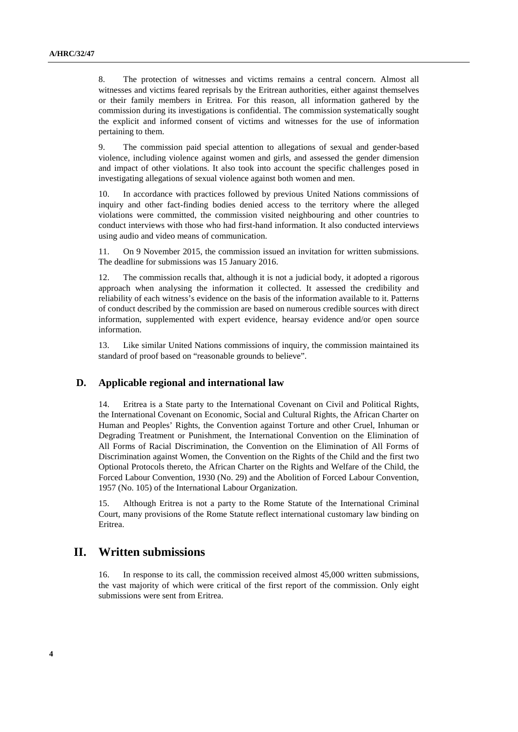8. The protection of witnesses and victims remains a central concern. Almost all witnesses and victims feared reprisals by the Eritrean authorities, either against themselves or their family members in Eritrea. For this reason, all information gathered by the commission during its investigations is confidential. The commission systematically sought the explicit and informed consent of victims and witnesses for the use of information pertaining to them.

9. The commission paid special attention to allegations of sexual and gender-based violence, including violence against women and girls, and assessed the gender dimension and impact of other violations. It also took into account the specific challenges posed in investigating allegations of sexual violence against both women and men.

10. In accordance with practices followed by previous United Nations commissions of inquiry and other fact-finding bodies denied access to the territory where the alleged violations were committed, the commission visited neighbouring and other countries to conduct interviews with those who had first-hand information. It also conducted interviews using audio and video means of communication.

11. On 9 November 2015, the commission issued an invitation for written submissions. The deadline for submissions was 15 January 2016.

12. The commission recalls that, although it is not a judicial body, it adopted a rigorous approach when analysing the information it collected. It assessed the credibility and reliability of each witness's evidence on the basis of the information available to it. Patterns of conduct described by the commission are based on numerous credible sources with direct information, supplemented with expert evidence, hearsay evidence and/or open source information.

13. Like similar United Nations commissions of inquiry, the commission maintained its standard of proof based on "reasonable grounds to believe".

#### **D. Applicable regional and international law**

14. Eritrea is a State party to the International Covenant on Civil and Political Rights, the International Covenant on Economic, Social and Cultural Rights, the African Charter on Human and Peoples' Rights, the Convention against Torture and other Cruel, Inhuman or Degrading Treatment or Punishment, the International Convention on the Elimination of All Forms of Racial Discrimination, the Convention on the Elimination of All Forms of Discrimination against Women, the Convention on the Rights of the Child and the first two Optional Protocols thereto, the African Charter on the Rights and Welfare of the Child, the Forced Labour Convention, 1930 (No. 29) and the Abolition of Forced Labour Convention, 1957 (No. 105) of the International Labour Organization.

15. Although Eritrea is not a party to the Rome Statute of the International Criminal Court, many provisions of the Rome Statute reflect international customary law binding on Eritrea.

# **II. Written submissions**

16. In response to its call, the commission received almost 45,000 written submissions, the vast majority of which were critical of the first report of the commission. Only eight submissions were sent from Eritrea.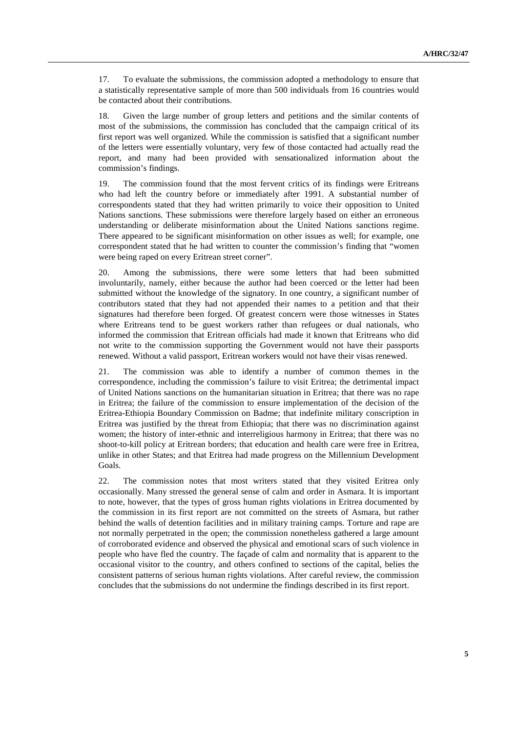17. To evaluate the submissions, the commission adopted a methodology to ensure that a statistically representative sample of more than 500 individuals from 16 countries would be contacted about their contributions.

18. Given the large number of group letters and petitions and the similar contents of most of the submissions, the commission has concluded that the campaign critical of its first report was well organized. While the commission is satisfied that a significant number of the letters were essentially voluntary, very few of those contacted had actually read the report, and many had been provided with sensationalized information about the commission's findings.

19. The commission found that the most fervent critics of its findings were Eritreans who had left the country before or immediately after 1991. A substantial number of correspondents stated that they had written primarily to voice their opposition to United Nations sanctions. These submissions were therefore largely based on either an erroneous understanding or deliberate misinformation about the United Nations sanctions regime. There appeared to be significant misinformation on other issues as well; for example, one correspondent stated that he had written to counter the commission's finding that "women were being raped on every Eritrean street corner".

20. Among the submissions, there were some letters that had been submitted involuntarily, namely, either because the author had been coerced or the letter had been submitted without the knowledge of the signatory. In one country, a significant number of contributors stated that they had not appended their names to a petition and that their signatures had therefore been forged. Of greatest concern were those witnesses in States where Eritreans tend to be guest workers rather than refugees or dual nationals, who informed the commission that Eritrean officials had made it known that Eritreans who did not write to the commission supporting the Government would not have their passports renewed. Without a valid passport, Eritrean workers would not have their visas renewed.

21. The commission was able to identify a number of common themes in the correspondence, including the commission's failure to visit Eritrea; the detrimental impact of United Nations sanctions on the humanitarian situation in Eritrea; that there was no rape in Eritrea; the failure of the commission to ensure implementation of the decision of the Eritrea-Ethiopia Boundary Commission on Badme; that indefinite military conscription in Eritrea was justified by the threat from Ethiopia; that there was no discrimination against women; the history of inter-ethnic and interreligious harmony in Eritrea; that there was no shoot-to-kill policy at Eritrean borders; that education and health care were free in Eritrea, unlike in other States; and that Eritrea had made progress on the Millennium Development Goals.

22. The commission notes that most writers stated that they visited Eritrea only occasionally. Many stressed the general sense of calm and order in Asmara. It is important to note, however, that the types of gross human rights violations in Eritrea documented by the commission in its first report are not committed on the streets of Asmara, but rather behind the walls of detention facilities and in military training camps. Torture and rape are not normally perpetrated in the open; the commission nonetheless gathered a large amount of corroborated evidence and observed the physical and emotional scars of such violence in people who have fled the country. The façade of calm and normality that is apparent to the occasional visitor to the country, and others confined to sections of the capital, belies the consistent patterns of serious human rights violations. After careful review, the commission concludes that the submissions do not undermine the findings described in its first report.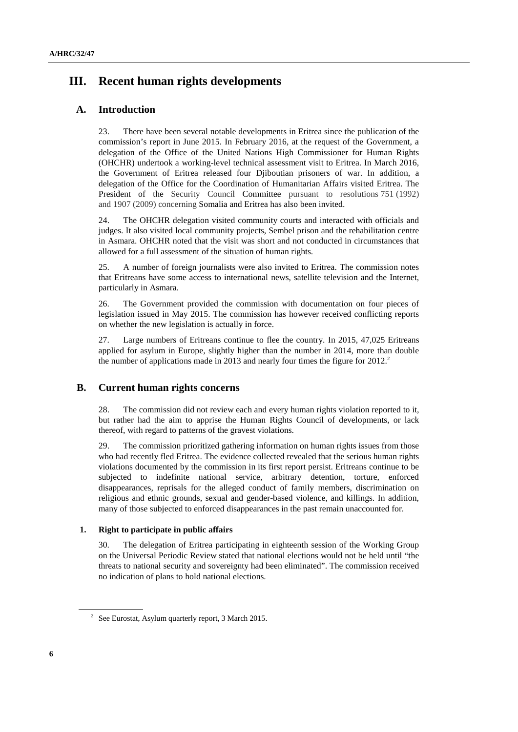# **III. Recent human rights developments**

# **A. Introduction**

23. There have been several notable developments in Eritrea since the publication of the commission's report in June 2015. In February 2016, at the request of the Government, a delegation of the Office of the United Nations High Commissioner for Human Rights (OHCHR) undertook a working-level technical assessment visit to Eritrea. In March 2016, the Government of Eritrea released four Djiboutian prisoners of war. In addition, a delegation of the Office for the Coordination of Humanitarian Affairs visited Eritrea. The President of the Security Council Committee pursuant to resolutions 751 (1992) and 1907 (2009) concerning Somalia and Eritrea has also been invited.

24. The OHCHR delegation visited community courts and interacted with officials and judges. It also visited local community projects, Sembel prison and the rehabilitation centre in Asmara. OHCHR noted that the visit was short and not conducted in circumstances that allowed for a full assessment of the situation of human rights.

25. A number of foreign journalists were also invited to Eritrea. The commission notes that Eritreans have some access to international news, satellite television and the Internet, particularly in Asmara.

26. The Government provided the commission with documentation on four pieces of legislation issued in May 2015. The commission has however received conflicting reports on whether the new legislation is actually in force.

27. Large numbers of Eritreans continue to flee the country. In 2015, 47,025 Eritreans applied for asylum in Europe, slightly higher than the number in 2014, more than double the number of applications made in 2013 and nearly four times the figure for 2012.<sup>2</sup>

### **B. Current human rights concerns**

28. The commission did not review each and every human rights violation reported to it, but rather had the aim to apprise the Human Rights Council of developments, or lack thereof, with regard to patterns of the gravest violations.

29. The commission prioritized gathering information on human rights issues from those who had recently fled Eritrea. The evidence collected revealed that the serious human rights violations documented by the commission in its first report persist. Eritreans continue to be subjected to indefinite national service, arbitrary detention, torture, enforced disappearances, reprisals for the alleged conduct of family members, discrimination on religious and ethnic grounds, sexual and gender-based violence, and killings. In addition, many of those subjected to enforced disappearances in the past remain unaccounted for.

### **1. Right to participate in public affairs**

30. The delegation of Eritrea participating in eighteenth session of the Working Group on the Universal Periodic Review stated that national elections would not be held until "the threats to national security and sovereignty had been eliminated". The commission received no indication of plans to hold national elections.

<sup>2</sup> See Eurostat, Asylum quarterly report, 3 March 2015.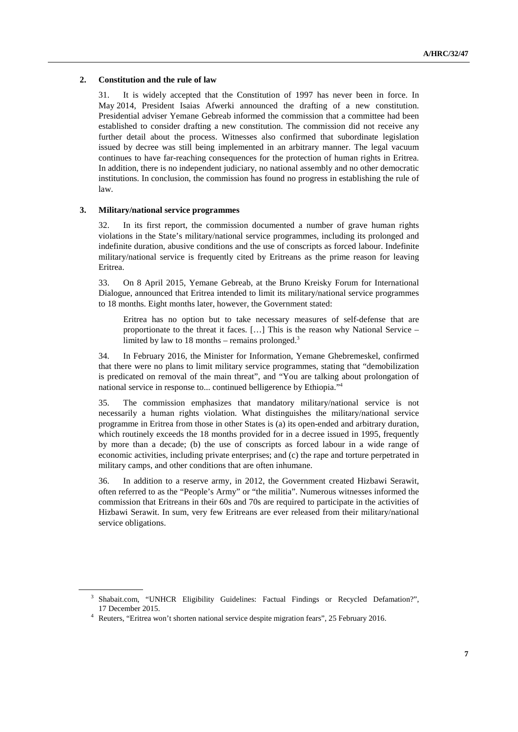#### **2. Constitution and the rule of law**

31. It is widely accepted that the Constitution of 1997 has never been in force. In May 2014, President Isaias Afwerki announced the drafting of a new constitution. Presidential adviser Yemane Gebreab informed the commission that a committee had been established to consider drafting a new constitution. The commission did not receive any further detail about the process. Witnesses also confirmed that subordinate legislation issued by decree was still being implemented in an arbitrary manner. The legal vacuum continues to have far-reaching consequences for the protection of human rights in Eritrea. In addition, there is no independent judiciary, no national assembly and no other democratic institutions. In conclusion, the commission has found no progress in establishing the rule of law.

#### **3. Military/national service programmes**

32. In its first report, the commission documented a number of grave human rights violations in the State's military/national service programmes, including its prolonged and indefinite duration, abusive conditions and the use of conscripts as forced labour. Indefinite military/national service is frequently cited by Eritreans as the prime reason for leaving Eritrea.

33. On 8 April 2015, Yemane Gebreab, at the Bruno Kreisky Forum for International Dialogue, announced that Eritrea intended to limit its military/national service programmes to 18 months. Eight months later, however, the Government stated:

Eritrea has no option but to take necessary measures of self-defense that are proportionate to the threat it faces. […] This is the reason why National Service – limited by law to 18 months – remains prolonged. $3$ 

34. In February 2016, the Minister for Information, Yemane Ghebremeskel, confirmed that there were no plans to limit military service programmes, stating that "demobilization is predicated on removal of the main threat", and "You are talking about prolongation of national service in response to... continued belligerence by Ethiopia."4

35. The commission emphasizes that mandatory military/national service is not necessarily a human rights violation. What distinguishes the military/national service programme in Eritrea from those in other States is (a) its open-ended and arbitrary duration, which routinely exceeds the 18 months provided for in a decree issued in 1995, frequently by more than a decade; (b) the use of conscripts as forced labour in a wide range of economic activities, including private enterprises; and (c) the rape and torture perpetrated in military camps, and other conditions that are often inhumane.

36. In addition to a reserve army, in 2012, the Government created Hizbawi Serawit, often referred to as the "People's Army" or "the militia". Numerous witnesses informed the commission that Eritreans in their 60s and 70s are required to participate in the activities of Hizbawi Serawit. In sum, very few Eritreans are ever released from their military/national service obligations.

<sup>&</sup>lt;sup>3</sup> Shabait.com, "UNHCR Eligibility Guidelines: Factual Findings or Recycled Defamation?", <sup>17</sup> December 2015. 4 Reuters, "Eritrea won't shorten national service despite migration fears", 25 February 2016.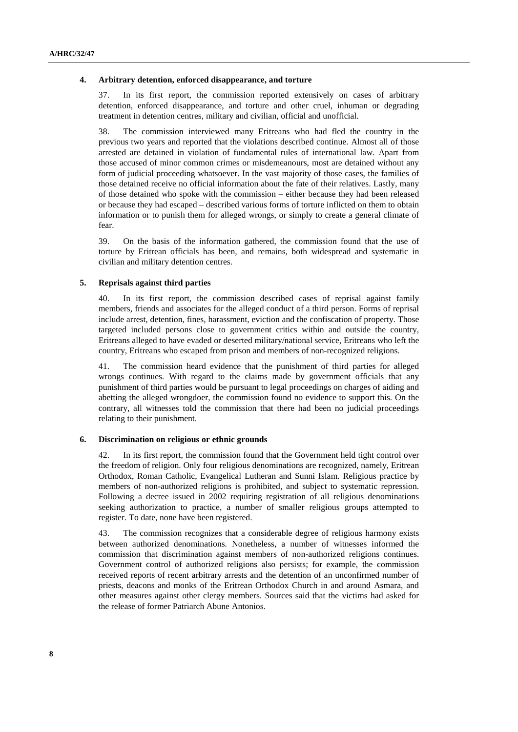#### **4. Arbitrary detention, enforced disappearance, and torture**

37. In its first report, the commission reported extensively on cases of arbitrary detention, enforced disappearance, and torture and other cruel, inhuman or degrading treatment in detention centres, military and civilian, official and unofficial.

38. The commission interviewed many Eritreans who had fled the country in the previous two years and reported that the violations described continue. Almost all of those arrested are detained in violation of fundamental rules of international law. Apart from those accused of minor common crimes or misdemeanours, most are detained without any form of judicial proceeding whatsoever. In the vast majority of those cases, the families of those detained receive no official information about the fate of their relatives. Lastly, many of those detained who spoke with the commission – either because they had been released or because they had escaped – described various forms of torture inflicted on them to obtain information or to punish them for alleged wrongs, or simply to create a general climate of fear.

39. On the basis of the information gathered, the commission found that the use of torture by Eritrean officials has been, and remains, both widespread and systematic in civilian and military detention centres.

#### **5. Reprisals against third parties**

40. In its first report, the commission described cases of reprisal against family members, friends and associates for the alleged conduct of a third person. Forms of reprisal include arrest, detention, fines, harassment, eviction and the confiscation of property. Those targeted included persons close to government critics within and outside the country, Eritreans alleged to have evaded or deserted military/national service, Eritreans who left the country, Eritreans who escaped from prison and members of non-recognized religions.

41. The commission heard evidence that the punishment of third parties for alleged wrongs continues. With regard to the claims made by government officials that any punishment of third parties would be pursuant to legal proceedings on charges of aiding and abetting the alleged wrongdoer, the commission found no evidence to support this. On the contrary, all witnesses told the commission that there had been no judicial proceedings relating to their punishment.

#### **6. Discrimination on religious or ethnic grounds**

42. In its first report, the commission found that the Government held tight control over the freedom of religion. Only four religious denominations are recognized, namely, Eritrean Orthodox, Roman Catholic, Evangelical Lutheran and Sunni Islam. Religious practice by members of non-authorized religions is prohibited, and subject to systematic repression. Following a decree issued in 2002 requiring registration of all religious denominations seeking authorization to practice, a number of smaller religious groups attempted to register. To date, none have been registered.

43. The commission recognizes that a considerable degree of religious harmony exists between authorized denominations. Nonetheless, a number of witnesses informed the commission that discrimination against members of non-authorized religions continues. Government control of authorized religions also persists; for example, the commission received reports of recent arbitrary arrests and the detention of an unconfirmed number of priests, deacons and monks of the Eritrean Orthodox Church in and around Asmara, and other measures against other clergy members. Sources said that the victims had asked for the release of former Patriarch Abune Antonios.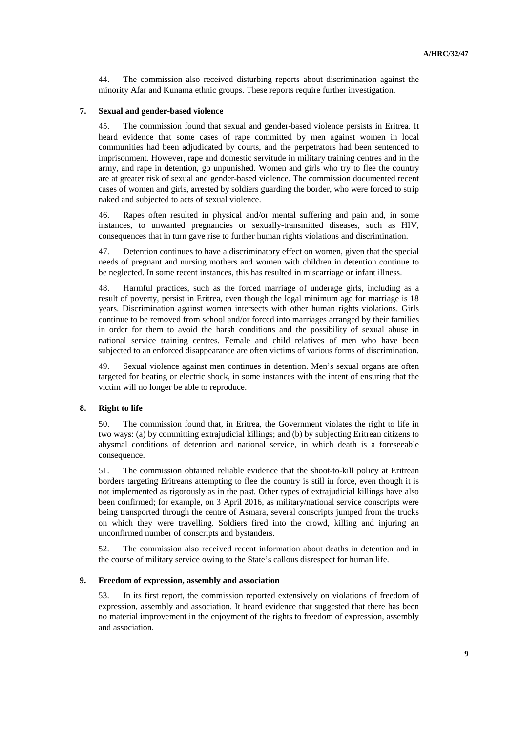44. The commission also received disturbing reports about discrimination against the minority Afar and Kunama ethnic groups. These reports require further investigation.

#### **7. Sexual and gender-based violence**

45. The commission found that sexual and gender-based violence persists in Eritrea. It heard evidence that some cases of rape committed by men against women in local communities had been adjudicated by courts, and the perpetrators had been sentenced to imprisonment. However, rape and domestic servitude in military training centres and in the army, and rape in detention, go unpunished. Women and girls who try to flee the country are at greater risk of sexual and gender-based violence. The commission documented recent cases of women and girls, arrested by soldiers guarding the border, who were forced to strip naked and subjected to acts of sexual violence.

46. Rapes often resulted in physical and/or mental suffering and pain and, in some instances, to unwanted pregnancies or sexually-transmitted diseases, such as HIV, consequences that in turn gave rise to further human rights violations and discrimination.

47. Detention continues to have a discriminatory effect on women, given that the special needs of pregnant and nursing mothers and women with children in detention continue to be neglected. In some recent instances, this has resulted in miscarriage or infant illness.

48. Harmful practices, such as the forced marriage of underage girls, including as a result of poverty, persist in Eritrea, even though the legal minimum age for marriage is 18 years. Discrimination against women intersects with other human rights violations. Girls continue to be removed from school and/or forced into marriages arranged by their families in order for them to avoid the harsh conditions and the possibility of sexual abuse in national service training centres. Female and child relatives of men who have been subjected to an enforced disappearance are often victims of various forms of discrimination.

49. Sexual violence against men continues in detention. Men's sexual organs are often targeted for beating or electric shock, in some instances with the intent of ensuring that the victim will no longer be able to reproduce.

#### **8. Right to life**

50. The commission found that, in Eritrea, the Government violates the right to life in two ways: (a) by committing extrajudicial killings; and (b) by subjecting Eritrean citizens to abysmal conditions of detention and national service, in which death is a foreseeable consequence.

51. The commission obtained reliable evidence that the shoot-to-kill policy at Eritrean borders targeting Eritreans attempting to flee the country is still in force, even though it is not implemented as rigorously as in the past. Other types of extrajudicial killings have also been confirmed; for example, on 3 April 2016, as military/national service conscripts were being transported through the centre of Asmara, several conscripts jumped from the trucks on which they were travelling. Soldiers fired into the crowd, killing and injuring an unconfirmed number of conscripts and bystanders.

52. The commission also received recent information about deaths in detention and in the course of military service owing to the State's callous disrespect for human life.

#### **9. Freedom of expression, assembly and association**

53. In its first report, the commission reported extensively on violations of freedom of expression, assembly and association. It heard evidence that suggested that there has been no material improvement in the enjoyment of the rights to freedom of expression, assembly and association.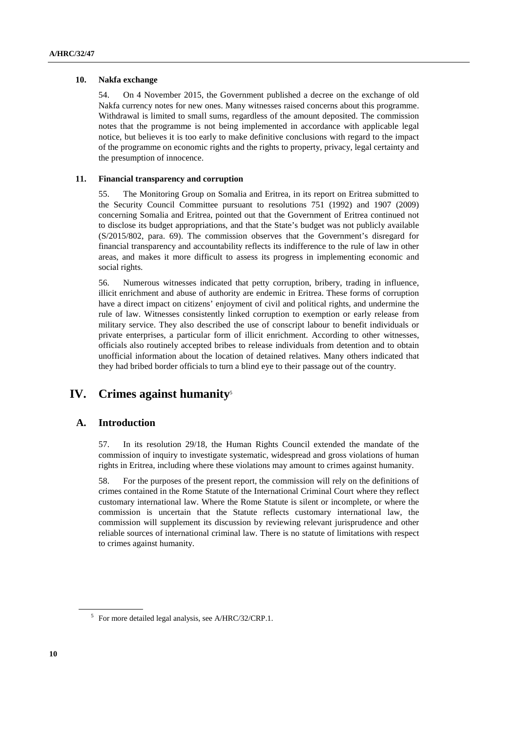#### **10. Nakfa exchange**

54. On 4 November 2015, the Government published a decree on the exchange of old Nakfa currency notes for new ones. Many witnesses raised concerns about this programme. Withdrawal is limited to small sums, regardless of the amount deposited. The commission notes that the programme is not being implemented in accordance with applicable legal notice, but believes it is too early to make definitive conclusions with regard to the impact of the programme on economic rights and the rights to property, privacy, legal certainty and the presumption of innocence.

#### **11. Financial transparency and corruption**

55. The Monitoring Group on Somalia and Eritrea, in its report on Eritrea submitted to the Security Council Committee pursuant to resolutions 751 (1992) and 1907 (2009) concerning Somalia and Eritrea, pointed out that the Government of Eritrea continued not to disclose its budget appropriations, and that the State's budget was not publicly available (S/2015/802, para. 69). The commission observes that the Government's disregard for financial transparency and accountability reflects its indifference to the rule of law in other areas, and makes it more difficult to assess its progress in implementing economic and social rights.

56. Numerous witnesses indicated that petty corruption, bribery, trading in influence, illicit enrichment and abuse of authority are endemic in Eritrea. These forms of corruption have a direct impact on citizens' enjoyment of civil and political rights, and undermine the rule of law. Witnesses consistently linked corruption to exemption or early release from military service. They also described the use of conscript labour to benefit individuals or private enterprises, a particular form of illicit enrichment. According to other witnesses, officials also routinely accepted bribes to release individuals from detention and to obtain unofficial information about the location of detained relatives. Many others indicated that they had bribed border officials to turn a blind eye to their passage out of the country.

# **IV. Crimes against humanity**<sup>5</sup>

### **A. Introduction**

57. In its resolution 29/18, the Human Rights Council extended the mandate of the commission of inquiry to investigate systematic, widespread and gross violations of human rights in Eritrea, including where these violations may amount to crimes against humanity.

58. For the purposes of the present report, the commission will rely on the definitions of crimes contained in the Rome Statute of the International Criminal Court where they reflect customary international law. Where the Rome Statute is silent or incomplete, or where the commission is uncertain that the Statute reflects customary international law, the commission will supplement its discussion by reviewing relevant jurisprudence and other reliable sources of international criminal law. There is no statute of limitations with respect to crimes against humanity.

<sup>5</sup> For more detailed legal analysis, see A/HRC/32/CRP.1.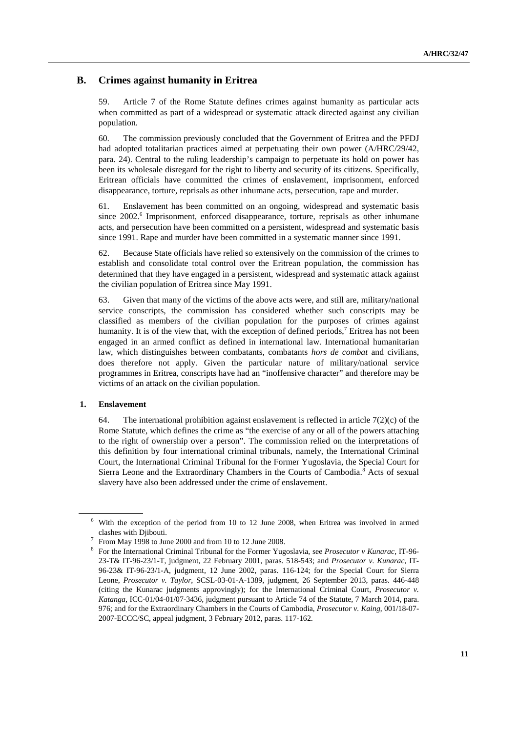## **B. Crimes against humanity in Eritrea**

59. Article 7 of the Rome Statute defines crimes against humanity as particular acts when committed as part of a widespread or systematic attack directed against any civilian population.

60. The commission previously concluded that the Government of Eritrea and the PFDJ had adopted totalitarian practices aimed at perpetuating their own power (A/HRC/29/42, para. 24). Central to the ruling leadership's campaign to perpetuate its hold on power has been its wholesale disregard for the right to liberty and security of its citizens. Specifically, Eritrean officials have committed the crimes of enslavement, imprisonment, enforced disappearance, torture, reprisals as other inhumane acts, persecution, rape and murder.

61. Enslavement has been committed on an ongoing, widespread and systematic basis since 2002.<sup>6</sup> Imprisonment, enforced disappearance, torture, reprisals as other inhumane acts, and persecution have been committed on a persistent, widespread and systematic basis since 1991. Rape and murder have been committed in a systematic manner since 1991.

62. Because State officials have relied so extensively on the commission of the crimes to establish and consolidate total control over the Eritrean population, the commission has determined that they have engaged in a persistent, widespread and systematic attack against the civilian population of Eritrea since May 1991.

63. Given that many of the victims of the above acts were, and still are, military/national service conscripts, the commission has considered whether such conscripts may be classified as members of the civilian population for the purposes of crimes against humanity. It is of the view that, with the exception of defined periods,<sup>7</sup> Eritrea has not been engaged in an armed conflict as defined in international law. International humanitarian law, which distinguishes between combatants, combatants *hors de combat* and civilians, does therefore not apply. Given the particular nature of military/national service programmes in Eritrea, conscripts have had an "inoffensive character" and therefore may be victims of an attack on the civilian population.

#### **1. Enslavement**

64. The international prohibition against enslavement is reflected in article  $7(2)(c)$  of the Rome Statute, which defines the crime as "the exercise of any or all of the powers attaching to the right of ownership over a person". The commission relied on the interpretations of this definition by four international criminal tribunals, namely, the International Criminal Court, the International Criminal Tribunal for the Former Yugoslavia, the Special Court for Sierra Leone and the Extraordinary Chambers in the Courts of Cambodia.<sup>8</sup> Acts of sexual slavery have also been addressed under the crime of enslavement.

<sup>6</sup> With the exception of the period from 10 to 12 June 2008, when Eritrea was involved in armed clashes with Djibouti.

From May 1998 to June 2000 and from 10 to 12 June 2008.

<sup>8</sup> For the International Criminal Tribunal for the Former Yugoslavia, see *Prosecutor v Kunarac*, IT-96- 23-T& IT-96-23/1-T, judgment, 22 February 2001, paras. 518-543; and *Prosecutor v. Kunarac*, IT-96-23& IT-96-23/1-A, judgment, 12 June 2002, paras. 116-124; for the Special Court for Sierra Leone, *Prosecutor v. Taylor*, SCSL-03-01-A-1389, judgment, 26 September 2013, paras. 446-448 (citing the Kunarac judgments approvingly); for the International Criminal Court, *Prosecutor v. Katanga*, ICC-01/04-01/07-3436, judgment pursuant to Article 74 of the Statute, 7 March 2014, para. 976; and for the Extraordinary Chambers in the Courts of Cambodia, *Prosecutor v. Kaing*, 001/18-07- 2007-ECCC/SC, appeal judgment, 3 February 2012, paras. 117-162.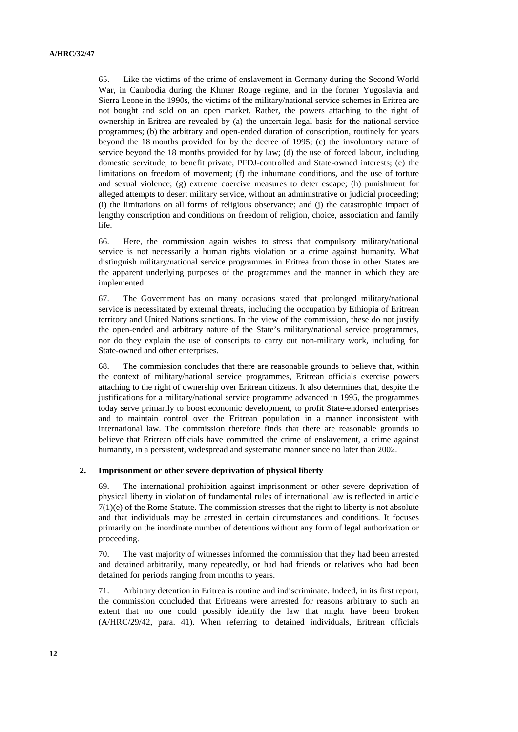65. Like the victims of the crime of enslavement in Germany during the Second World War, in Cambodia during the Khmer Rouge regime, and in the former Yugoslavia and Sierra Leone in the 1990s, the victims of the military/national service schemes in Eritrea are not bought and sold on an open market. Rather, the powers attaching to the right of ownership in Eritrea are revealed by (a) the uncertain legal basis for the national service programmes; (b) the arbitrary and open-ended duration of conscription, routinely for years beyond the 18 months provided for by the decree of 1995; (c) the involuntary nature of service beyond the 18 months provided for by law; (d) the use of forced labour, including domestic servitude, to benefit private, PFDJ-controlled and State-owned interests; (e) the limitations on freedom of movement; (f) the inhumane conditions, and the use of torture and sexual violence; (g) extreme coercive measures to deter escape; (h) punishment for alleged attempts to desert military service, without an administrative or judicial proceeding; (i) the limitations on all forms of religious observance; and (j) the catastrophic impact of lengthy conscription and conditions on freedom of religion, choice, association and family life.

66. Here, the commission again wishes to stress that compulsory military/national service is not necessarily a human rights violation or a crime against humanity. What distinguish military/national service programmes in Eritrea from those in other States are the apparent underlying purposes of the programmes and the manner in which they are implemented.

67. The Government has on many occasions stated that prolonged military/national service is necessitated by external threats, including the occupation by Ethiopia of Eritrean territory and United Nations sanctions. In the view of the commission, these do not justify the open-ended and arbitrary nature of the State's military/national service programmes, nor do they explain the use of conscripts to carry out non-military work, including for State-owned and other enterprises.

68. The commission concludes that there are reasonable grounds to believe that, within the context of military/national service programmes, Eritrean officials exercise powers attaching to the right of ownership over Eritrean citizens. It also determines that, despite the justifications for a military/national service programme advanced in 1995, the programmes today serve primarily to boost economic development, to profit State-endorsed enterprises and to maintain control over the Eritrean population in a manner inconsistent with international law. The commission therefore finds that there are reasonable grounds to believe that Eritrean officials have committed the crime of enslavement, a crime against humanity, in a persistent, widespread and systematic manner since no later than 2002.

#### **2. Imprisonment or other severe deprivation of physical liberty**

69. The international prohibition against imprisonment or other severe deprivation of physical liberty in violation of fundamental rules of international law is reflected in article 7(1)(e) of the Rome Statute. The commission stresses that the right to liberty is not absolute and that individuals may be arrested in certain circumstances and conditions. It focuses primarily on the inordinate number of detentions without any form of legal authorization or proceeding.

70. The vast majority of witnesses informed the commission that they had been arrested and detained arbitrarily, many repeatedly, or had had friends or relatives who had been detained for periods ranging from months to years.

71. Arbitrary detention in Eritrea is routine and indiscriminate. Indeed, in its first report, the commission concluded that Eritreans were arrested for reasons arbitrary to such an extent that no one could possibly identify the law that might have been broken (A/HRC/29/42, para. 41). When referring to detained individuals, Eritrean officials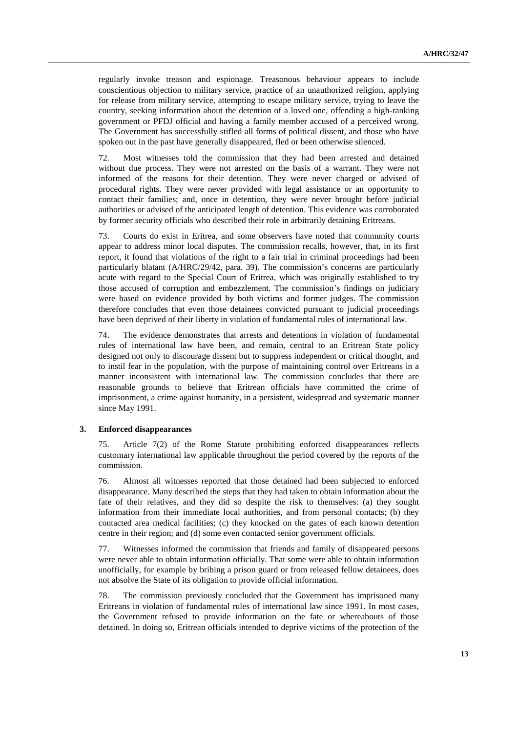regularly invoke treason and espionage. Treasonous behaviour appears to include conscientious objection to military service, practice of an unauthorized religion, applying for release from military service, attempting to escape military service, trying to leave the country, seeking information about the detention of a loved one, offending a high-ranking government or PFDJ official and having a family member accused of a perceived wrong. The Government has successfully stifled all forms of political dissent, and those who have spoken out in the past have generally disappeared, fled or been otherwise silenced.

72. Most witnesses told the commission that they had been arrested and detained without due process. They were not arrested on the basis of a warrant. They were not informed of the reasons for their detention. They were never charged or advised of procedural rights. They were never provided with legal assistance or an opportunity to contact their families; and, once in detention, they were never brought before judicial authorities or advised of the anticipated length of detention. This evidence was corroborated by former security officials who described their role in arbitrarily detaining Eritreans.

73. Courts do exist in Eritrea, and some observers have noted that community courts appear to address minor local disputes. The commission recalls, however, that, in its first report, it found that violations of the right to a fair trial in criminal proceedings had been particularly blatant (A/HRC/29/42, para. 39). The commission's concerns are particularly acute with regard to the Special Court of Eritrea, which was originally established to try those accused of corruption and embezzlement. The commission's findings on judiciary were based on evidence provided by both victims and former judges. The commission therefore concludes that even those detainees convicted pursuant to judicial proceedings have been deprived of their liberty in violation of fundamental rules of international law.

74. The evidence demonstrates that arrests and detentions in violation of fundamental rules of international law have been, and remain, central to an Eritrean State policy designed not only to discourage dissent but to suppress independent or critical thought, and to instil fear in the population, with the purpose of maintaining control over Eritreans in a manner inconsistent with international law. The commission concludes that there are reasonable grounds to believe that Eritrean officials have committed the crime of imprisonment, a crime against humanity, in a persistent, widespread and systematic manner since May 1991.

#### **3. Enforced disappearances**

75. Article 7(2) of the Rome Statute prohibiting enforced disappearances reflects customary international law applicable throughout the period covered by the reports of the commission.

76. Almost all witnesses reported that those detained had been subjected to enforced disappearance. Many described the steps that they had taken to obtain information about the fate of their relatives, and they did so despite the risk to themselves: (a) they sought information from their immediate local authorities, and from personal contacts; (b) they contacted area medical facilities; (c) they knocked on the gates of each known detention centre in their region; and (d) some even contacted senior government officials.

77. Witnesses informed the commission that friends and family of disappeared persons were never able to obtain information officially. That some were able to obtain information unofficially, for example by bribing a prison guard or from released fellow detainees, does not absolve the State of its obligation to provide official information.

78. The commission previously concluded that the Government has imprisoned many Eritreans in violation of fundamental rules of international law since 1991. In most cases, the Government refused to provide information on the fate or whereabouts of those detained. In doing so, Eritrean officials intended to deprive victims of the protection of the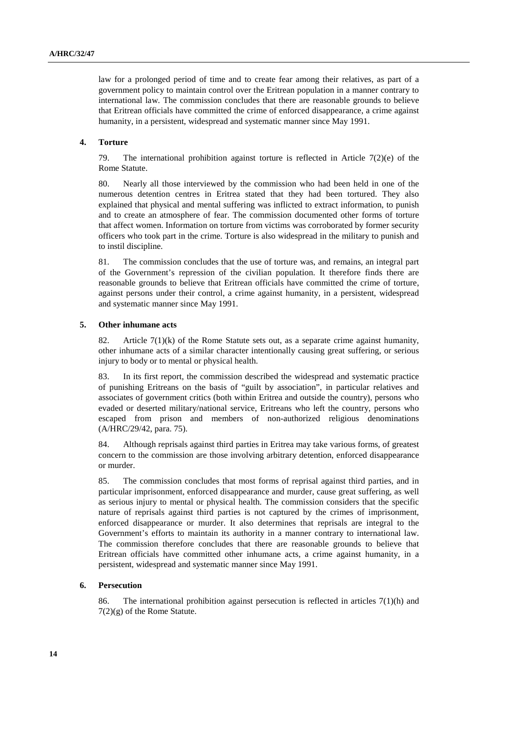law for a prolonged period of time and to create fear among their relatives, as part of a government policy to maintain control over the Eritrean population in a manner contrary to international law. The commission concludes that there are reasonable grounds to believe that Eritrean officials have committed the crime of enforced disappearance, a crime against humanity, in a persistent, widespread and systematic manner since May 1991.

#### **4. Torture**

79. The international prohibition against torture is reflected in Article 7(2)(e) of the Rome Statute.

80. Nearly all those interviewed by the commission who had been held in one of the numerous detention centres in Eritrea stated that they had been tortured. They also explained that physical and mental suffering was inflicted to extract information, to punish and to create an atmosphere of fear. The commission documented other forms of torture that affect women. Information on torture from victims was corroborated by former security officers who took part in the crime. Torture is also widespread in the military to punish and to instil discipline.

81. The commission concludes that the use of torture was, and remains, an integral part of the Government's repression of the civilian population. It therefore finds there are reasonable grounds to believe that Eritrean officials have committed the crime of torture, against persons under their control, a crime against humanity, in a persistent, widespread and systematic manner since May 1991.

#### **5. Other inhumane acts**

82. Article  $7(1)(k)$  of the Rome Statute sets out, as a separate crime against humanity, other inhumane acts of a similar character intentionally causing great suffering, or serious injury to body or to mental or physical health.

83. In its first report, the commission described the widespread and systematic practice of punishing Eritreans on the basis of "guilt by association", in particular relatives and associates of government critics (both within Eritrea and outside the country), persons who evaded or deserted military/national service, Eritreans who left the country, persons who escaped from prison and members of non-authorized religious denominations (A/HRC/29/42, para. 75).

84. Although reprisals against third parties in Eritrea may take various forms, of greatest concern to the commission are those involving arbitrary detention, enforced disappearance or murder.

85. The commission concludes that most forms of reprisal against third parties, and in particular imprisonment, enforced disappearance and murder, cause great suffering, as well as serious injury to mental or physical health. The commission considers that the specific nature of reprisals against third parties is not captured by the crimes of imprisonment, enforced disappearance or murder. It also determines that reprisals are integral to the Government's efforts to maintain its authority in a manner contrary to international law. The commission therefore concludes that there are reasonable grounds to believe that Eritrean officials have committed other inhumane acts, a crime against humanity, in a persistent, widespread and systematic manner since May 1991.

#### **6. Persecution**

86. The international prohibition against persecution is reflected in articles 7(1)(h) and 7(2)(g) of the Rome Statute.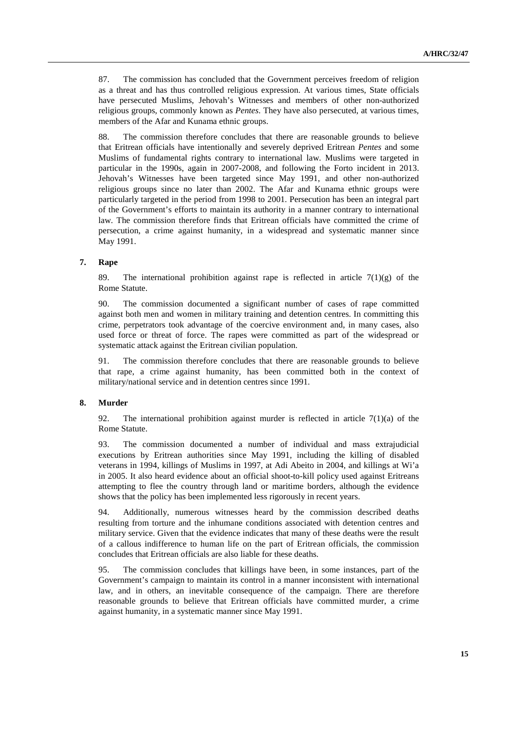87. The commission has concluded that the Government perceives freedom of religion as a threat and has thus controlled religious expression. At various times, State officials have persecuted Muslims, Jehovah's Witnesses and members of other non-authorized religious groups, commonly known as *Pentes*. They have also persecuted, at various times, members of the Afar and Kunama ethnic groups.

88. The commission therefore concludes that there are reasonable grounds to believe that Eritrean officials have intentionally and severely deprived Eritrean *Pentes* and some Muslims of fundamental rights contrary to international law. Muslims were targeted in particular in the 1990s, again in 2007-2008, and following the Forto incident in 2013. Jehovah's Witnesses have been targeted since May 1991, and other non-authorized religious groups since no later than 2002. The Afar and Kunama ethnic groups were particularly targeted in the period from 1998 to 2001. Persecution has been an integral part of the Government's efforts to maintain its authority in a manner contrary to international law. The commission therefore finds that Eritrean officials have committed the crime of persecution, a crime against humanity, in a widespread and systematic manner since May 1991.

#### **7. Rape**

89. The international prohibition against rape is reflected in article  $7(1)(g)$  of the Rome Statute.

90. The commission documented a significant number of cases of rape committed against both men and women in military training and detention centres. In committing this crime, perpetrators took advantage of the coercive environment and, in many cases, also used force or threat of force. The rapes were committed as part of the widespread or systematic attack against the Eritrean civilian population.

91. The commission therefore concludes that there are reasonable grounds to believe that rape, a crime against humanity, has been committed both in the context of military/national service and in detention centres since 1991.

#### **8. Murder**

92. The international prohibition against murder is reflected in article  $7(1)(a)$  of the Rome Statute.

93. The commission documented a number of individual and mass extrajudicial executions by Eritrean authorities since May 1991, including the killing of disabled veterans in 1994, killings of Muslims in 1997, at Adi Abeito in 2004, and killings at Wi'a in 2005. It also heard evidence about an official shoot-to-kill policy used against Eritreans attempting to flee the country through land or maritime borders, although the evidence shows that the policy has been implemented less rigorously in recent years.

94. Additionally, numerous witnesses heard by the commission described deaths resulting from torture and the inhumane conditions associated with detention centres and military service. Given that the evidence indicates that many of these deaths were the result of a callous indifference to human life on the part of Eritrean officials, the commission concludes that Eritrean officials are also liable for these deaths.

95. The commission concludes that killings have been, in some instances, part of the Government's campaign to maintain its control in a manner inconsistent with international law, and in others, an inevitable consequence of the campaign. There are therefore reasonable grounds to believe that Eritrean officials have committed murder, a crime against humanity, in a systematic manner since May 1991.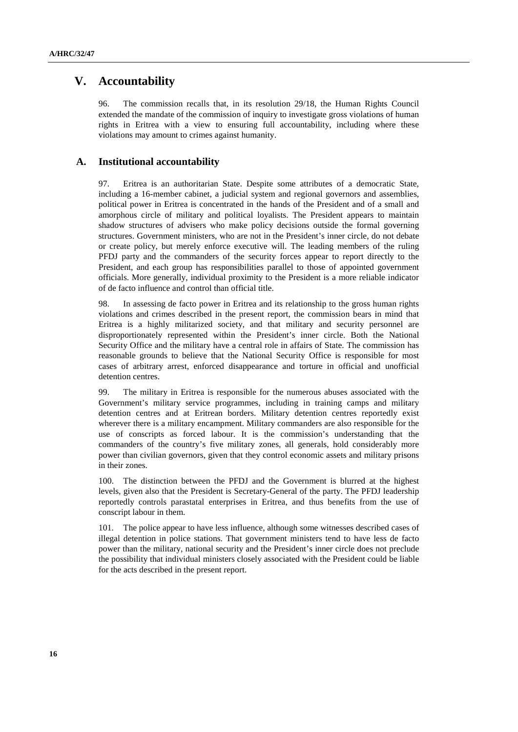# **V. Accountability**

96. The commission recalls that, in its resolution 29/18, the Human Rights Council extended the mandate of the commission of inquiry to investigate gross violations of human rights in Eritrea with a view to ensuring full accountability, including where these violations may amount to crimes against humanity.

### **A. Institutional accountability**

97. Eritrea is an authoritarian State. Despite some attributes of a democratic State, including a 16-member cabinet, a judicial system and regional governors and assemblies, political power in Eritrea is concentrated in the hands of the President and of a small and amorphous circle of military and political loyalists. The President appears to maintain shadow structures of advisers who make policy decisions outside the formal governing structures. Government ministers, who are not in the President's inner circle, do not debate or create policy, but merely enforce executive will. The leading members of the ruling PFDJ party and the commanders of the security forces appear to report directly to the President, and each group has responsibilities parallel to those of appointed government officials. More generally, individual proximity to the President is a more reliable indicator of de facto influence and control than official title.

98. In assessing de facto power in Eritrea and its relationship to the gross human rights violations and crimes described in the present report, the commission bears in mind that Eritrea is a highly militarized society, and that military and security personnel are disproportionately represented within the President's inner circle. Both the National Security Office and the military have a central role in affairs of State. The commission has reasonable grounds to believe that the National Security Office is responsible for most cases of arbitrary arrest, enforced disappearance and torture in official and unofficial detention centres.

99. The military in Eritrea is responsible for the numerous abuses associated with the Government's military service programmes, including in training camps and military detention centres and at Eritrean borders. Military detention centres reportedly exist wherever there is a military encampment. Military commanders are also responsible for the use of conscripts as forced labour. It is the commission's understanding that the commanders of the country's five military zones, all generals, hold considerably more power than civilian governors, given that they control economic assets and military prisons in their zones.

100. The distinction between the PFDJ and the Government is blurred at the highest levels, given also that the President is Secretary-General of the party. The PFDJ leadership reportedly controls parastatal enterprises in Eritrea, and thus benefits from the use of conscript labour in them.

101. The police appear to have less influence, although some witnesses described cases of illegal detention in police stations. That government ministers tend to have less de facto power than the military, national security and the President's inner circle does not preclude the possibility that individual ministers closely associated with the President could be liable for the acts described in the present report.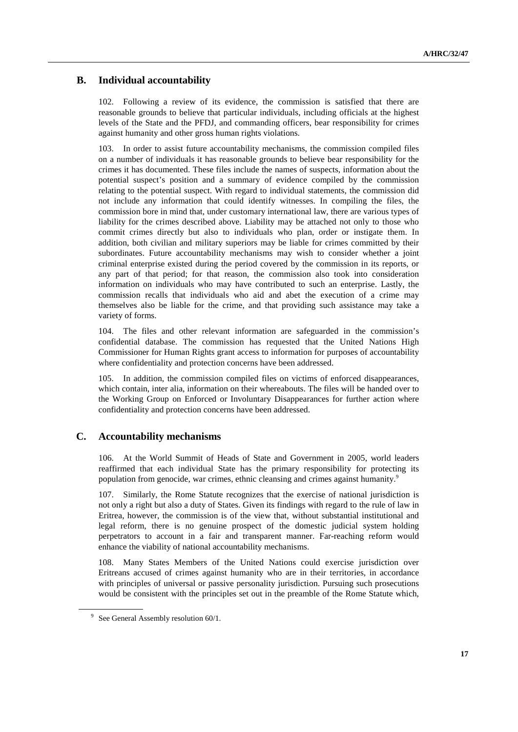# **B. Individual accountability**

102. Following a review of its evidence, the commission is satisfied that there are reasonable grounds to believe that particular individuals, including officials at the highest levels of the State and the PFDJ, and commanding officers, bear responsibility for crimes against humanity and other gross human rights violations.

103. In order to assist future accountability mechanisms, the commission compiled files on a number of individuals it has reasonable grounds to believe bear responsibility for the crimes it has documented. These files include the names of suspects, information about the potential suspect's position and a summary of evidence compiled by the commission relating to the potential suspect. With regard to individual statements, the commission did not include any information that could identify witnesses. In compiling the files, the commission bore in mind that, under customary international law, there are various types of liability for the crimes described above. Liability may be attached not only to those who commit crimes directly but also to individuals who plan, order or instigate them. In addition, both civilian and military superiors may be liable for crimes committed by their subordinates. Future accountability mechanisms may wish to consider whether a joint criminal enterprise existed during the period covered by the commission in its reports, or any part of that period; for that reason, the commission also took into consideration information on individuals who may have contributed to such an enterprise. Lastly, the commission recalls that individuals who aid and abet the execution of a crime may themselves also be liable for the crime, and that providing such assistance may take a variety of forms.

104. The files and other relevant information are safeguarded in the commission's confidential database. The commission has requested that the United Nations High Commissioner for Human Rights grant access to information for purposes of accountability where confidentiality and protection concerns have been addressed.

105. In addition, the commission compiled files on victims of enforced disappearances, which contain, inter alia, information on their whereabouts. The files will be handed over to the Working Group on Enforced or Involuntary Disappearances for further action where confidentiality and protection concerns have been addressed.

### **C. Accountability mechanisms**

106. At the World Summit of Heads of State and Government in 2005, world leaders reaffirmed that each individual State has the primary responsibility for protecting its population from genocide, war crimes, ethnic cleansing and crimes against humanity.<sup>9</sup>

107. Similarly, the Rome Statute recognizes that the exercise of national jurisdiction is not only a right but also a duty of States. Given its findings with regard to the rule of law in Eritrea, however, the commission is of the view that, without substantial institutional and legal reform, there is no genuine prospect of the domestic judicial system holding perpetrators to account in a fair and transparent manner. Far-reaching reform would enhance the viability of national accountability mechanisms.

108. Many States Members of the United Nations could exercise jurisdiction over Eritreans accused of crimes against humanity who are in their territories, in accordance with principles of universal or passive personality jurisdiction. Pursuing such prosecutions would be consistent with the principles set out in the preamble of the Rome Statute which,

<sup>&</sup>lt;sup>9</sup> See General Assembly resolution 60/1.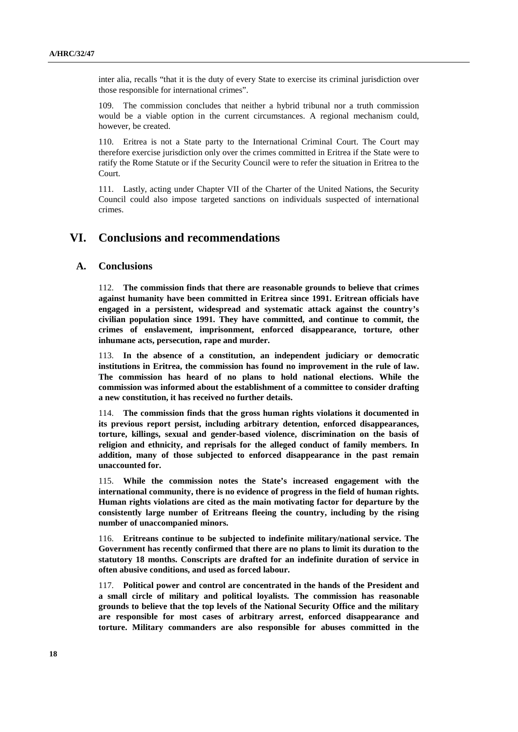inter alia, recalls "that it is the duty of every State to exercise its criminal jurisdiction over those responsible for international crimes".

109. The commission concludes that neither a hybrid tribunal nor a truth commission would be a viable option in the current circumstances. A regional mechanism could, however, be created.

110. Eritrea is not a State party to the International Criminal Court. The Court may therefore exercise jurisdiction only over the crimes committed in Eritrea if the State were to ratify the Rome Statute or if the Security Council were to refer the situation in Eritrea to the Court.

111. Lastly, acting under Chapter VII of the Charter of the United Nations, the Security Council could also impose targeted sanctions on individuals suspected of international crimes.

# **VI. Conclusions and recommendations**

#### **A. Conclusions**

112. **The commission finds that there are reasonable grounds to believe that crimes against humanity have been committed in Eritrea since 1991. Eritrean officials have engaged in a persistent, widespread and systematic attack against the country's civilian population since 1991. They have committed, and continue to commit, the crimes of enslavement, imprisonment, enforced disappearance, torture, other inhumane acts, persecution, rape and murder.** 

113. **In the absence of a constitution, an independent judiciary or democratic institutions in Eritrea, the commission has found no improvement in the rule of law. The commission has heard of no plans to hold national elections. While the commission was informed about the establishment of a committee to consider drafting a new constitution, it has received no further details.** 

114. **The commission finds that the gross human rights violations it documented in its previous report persist, including arbitrary detention, enforced disappearances, torture, killings, sexual and gender-based violence, discrimination on the basis of religion and ethnicity, and reprisals for the alleged conduct of family members. In addition, many of those subjected to enforced disappearance in the past remain unaccounted for.**

115. **While the commission notes the State's increased engagement with the international community, there is no evidence of progress in the field of human rights. Human rights violations are cited as the main motivating factor for departure by the consistently large number of Eritreans fleeing the country, including by the rising number of unaccompanied minors.** 

116. **Eritreans continue to be subjected to indefinite military/national service. The Government has recently confirmed that there are no plans to limit its duration to the statutory 18 months. Conscripts are drafted for an indefinite duration of service in often abusive conditions, and used as forced labour.** 

117. **Political power and control are concentrated in the hands of the President and a small circle of military and political loyalists. The commission has reasonable grounds to believe that the top levels of the National Security Office and the military are responsible for most cases of arbitrary arrest, enforced disappearance and torture. Military commanders are also responsible for abuses committed in the**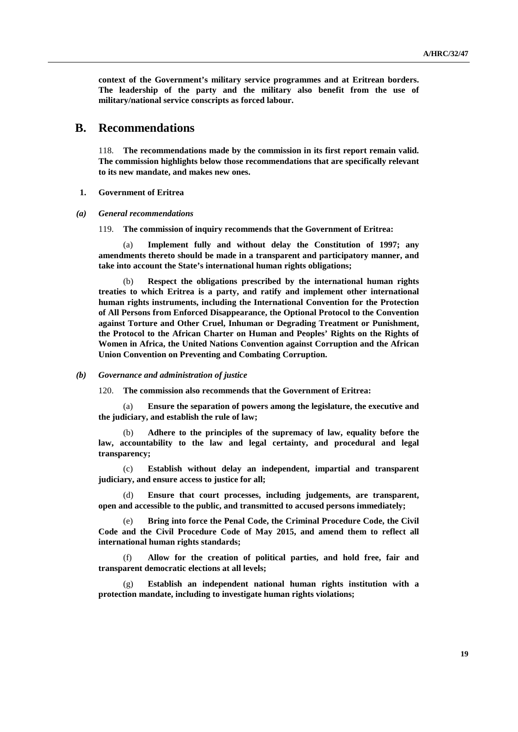**context of the Government's military service programmes and at Eritrean borders. The leadership of the party and the military also benefit from the use of military/national service conscripts as forced labour.**

# **B. Recommendations**

118. **The recommendations made by the commission in its first report remain valid. The commission highlights below those recommendations that are specifically relevant to its new mandate, and makes new ones.**

- **1. Government of Eritrea**
- *(a) General recommendations*

119. **The commission of inquiry recommends that the Government of Eritrea:**

(a) **Implement fully and without delay the Constitution of 1997; any amendments thereto should be made in a transparent and participatory manner, and take into account the State's international human rights obligations;**

(b) **Respect the obligations prescribed by the international human rights treaties to which Eritrea is a party, and ratify and implement other international human rights instruments, including the International Convention for the Protection of All Persons from Enforced Disappearance, the Optional Protocol to the Convention against Torture and Other Cruel, Inhuman or Degrading Treatment or Punishment, the Protocol to the African Charter on Human and Peoples' Rights on the Rights of Women in Africa, the United Nations Convention against Corruption and the African Union Convention on Preventing and Combating Corruption.**

*(b) Governance and administration of justice*

120. **The commission also recommends that the Government of Eritrea:**

(a) **Ensure the separation of powers among the legislature, the executive and the judiciary, and establish the rule of law;**

(b) **Adhere to the principles of the supremacy of law, equality before the law, accountability to the law and legal certainty, and procedural and legal transparency;**

(c) **Establish without delay an independent, impartial and transparent judiciary, and ensure access to justice for all;** 

Ensure that court processes, including judgements, are transparent, **open and accessible to the public, and transmitted to accused persons immediately;**

Bring into force the Penal Code, the Criminal Procedure Code, the Civil **Code and the Civil Procedure Code of May 2015, and amend them to reflect all international human rights standards;**

(f) **Allow for the creation of political parties, and hold free, fair and transparent democratic elections at all levels;** 

(g) **Establish an independent national human rights institution with a protection mandate, including to investigate human rights violations;**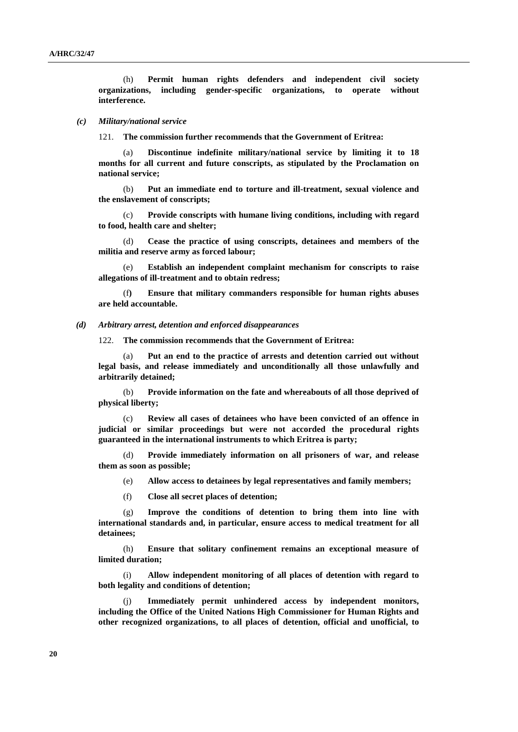(h) **Permit human rights defenders and independent civil society organizations, including gender-specific organizations, to operate without interference.**

#### *(c) Military/national service*

121. **The commission further recommends that the Government of Eritrea:**

(a) **Discontinue indefinite military/national service by limiting it to 18 months for all current and future conscripts, as stipulated by the Proclamation on national service;**

(b) **Put an immediate end to torture and ill-treatment, sexual violence and the enslavement of conscripts;**

(c) **Provide conscripts with humane living conditions, including with regard to food, health care and shelter;**

(d) **Cease the practice of using conscripts, detainees and members of the militia and reserve army as forced labour;**

(e) **Establish an independent complaint mechanism for conscripts to raise allegations of ill-treatment and to obtain redress;** 

(f**) Ensure that military commanders responsible for human rights abuses are held accountable.**

*(d) Arbitrary arrest, detention and enforced disappearances*

122. **The commission recommends that the Government of Eritrea:**

(a) **Put an end to the practice of arrests and detention carried out without legal basis, and release immediately and unconditionally all those unlawfully and arbitrarily detained;**

(b) **Provide information on the fate and whereabouts of all those deprived of physical liberty;** 

(c) **Review all cases of detainees who have been convicted of an offence in judicial or similar proceedings but were not accorded the procedural rights guaranteed in the international instruments to which Eritrea is party;** 

(d) **Provide immediately information on all prisoners of war, and release them as soon as possible;**

(e) **Allow access to detainees by legal representatives and family members;**

(f) **Close all secret places of detention;** 

(g) **Improve the conditions of detention to bring them into line with international standards and, in particular, ensure access to medical treatment for all detainees;** 

(h) **Ensure that solitary confinement remains an exceptional measure of limited duration;** 

(i) **Allow independent monitoring of all places of detention with regard to both legality and conditions of detention;** 

(j) **Immediately permit unhindered access by independent monitors, including the Office of the United Nations High Commissioner for Human Rights and other recognized organizations, to all places of detention, official and unofficial, to**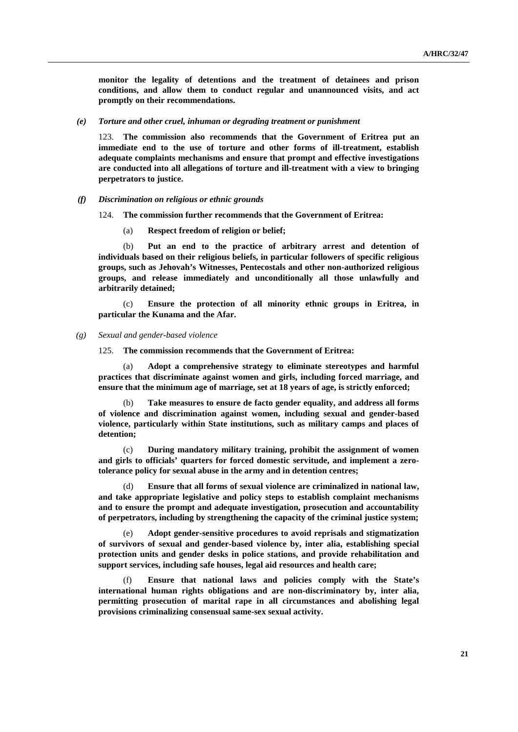**monitor the legality of detentions and the treatment of detainees and prison conditions, and allow them to conduct regular and unannounced visits, and act promptly on their recommendations.**

*(e) Torture and other cruel, inhuman or degrading treatment or punishment*

123. **The commission also recommends that the Government of Eritrea put an immediate end to the use of torture and other forms of ill-treatment, establish adequate complaints mechanisms and ensure that prompt and effective investigations are conducted into all allegations of torture and ill-treatment with a view to bringing perpetrators to justice.**

#### *(f) Discrimination on religious or ethnic grounds*

124. **The commission further recommends that the Government of Eritrea:**

(a) **Respect freedom of religion or belief;**

(b) **Put an end to the practice of arbitrary arrest and detention of individuals based on their religious beliefs, in particular followers of specific religious groups, such as Jehovah's Witnesses, Pentecostals and other non-authorized religious groups, and release immediately and unconditionally all those unlawfully and arbitrarily detained;**

(c) **Ensure the protection of all minority ethnic groups in Eritrea, in particular the Kunama and the Afar.**

#### *(g) Sexual and gender-based violence*

125. **The commission recommends that the Government of Eritrea:**

(a) **Adopt a comprehensive strategy to eliminate stereotypes and harmful practices that discriminate against women and girls, including forced marriage, and ensure that the minimum age of marriage, set at 18 years of age, is strictly enforced;** 

(b) **Take measures to ensure de facto gender equality, and address all forms of violence and discrimination against women, including sexual and gender-based violence, particularly within State institutions, such as military camps and places of detention;**

(c) **During mandatory military training, prohibit the assignment of women and girls to officials' quarters for forced domestic servitude, and implement a zerotolerance policy for sexual abuse in the army and in detention centres;**

(d) **Ensure that all forms of sexual violence are criminalized in national law, and take appropriate legislative and policy steps to establish complaint mechanisms and to ensure the prompt and adequate investigation, prosecution and accountability of perpetrators, including by strengthening the capacity of the criminal justice system;**

(e) **Adopt gender-sensitive procedures to avoid reprisals and stigmatization of survivors of sexual and gender-based violence by, inter alia, establishing special protection units and gender desks in police stations, and provide rehabilitation and support services, including safe houses, legal aid resources and health care;**

(f) **Ensure that national laws and policies comply with the State's international human rights obligations and are non-discriminatory by, inter alia, permitting prosecution of marital rape in all circumstances and abolishing legal provisions criminalizing consensual same-sex sexual activity.**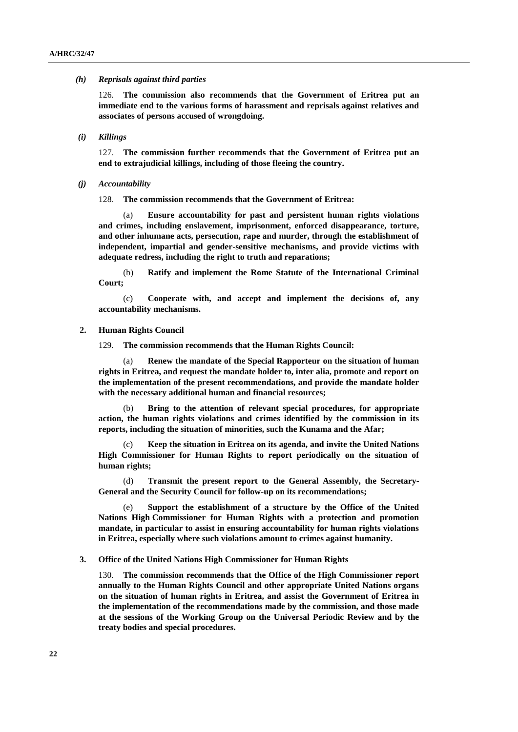#### *(h) Reprisals against third parties*

126. **The commission also recommends that the Government of Eritrea put an immediate end to the various forms of harassment and reprisals against relatives and associates of persons accused of wrongdoing.**

*(i) Killings*

127. **The commission further recommends that the Government of Eritrea put an end to extrajudicial killings, including of those fleeing the country.**

*(j) Accountability*

128. **The commission recommends that the Government of Eritrea:**

(a) **Ensure accountability for past and persistent human rights violations and crimes, including enslavement, imprisonment, enforced disappearance, torture, and other inhumane acts, persecution, rape and murder, through the establishment of independent, impartial and gender-sensitive mechanisms, and provide victims with adequate redress, including the right to truth and reparations;**

(b) **Ratify and implement the Rome Statute of the International Criminal Court;**

(c) **Cooperate with, and accept and implement the decisions of, any accountability mechanisms.**

#### **2. Human Rights Council**

129. **The commission recommends that the Human Rights Council:**

(a) **Renew the mandate of the Special Rapporteur on the situation of human rights in Eritrea, and request the mandate holder to, inter alia, promote and report on the implementation of the present recommendations, and provide the mandate holder with the necessary additional human and financial resources;**

(b) **Bring to the attention of relevant special procedures, for appropriate action, the human rights violations and crimes identified by the commission in its reports, including the situation of minorities, such the Kunama and the Afar;**

(c) **Keep the situation in Eritrea on its agenda, and invite the United Nations High Commissioner for Human Rights to report periodically on the situation of human rights;** 

(d) **Transmit the present report to the General Assembly, the Secretary-General and the Security Council for follow-up on its recommendations;**

(e) **Support the establishment of a structure by the Office of the United Nations High Commissioner for Human Rights with a protection and promotion mandate, in particular to assist in ensuring accountability for human rights violations in Eritrea, especially where such violations amount to crimes against humanity.**

#### **3. Office of the United Nations High Commissioner for Human Rights**

130. **The commission recommends that the Office of the High Commissioner report annually to the Human Rights Council and other appropriate United Nations organs on the situation of human rights in Eritrea, and assist the Government of Eritrea in the implementation of the recommendations made by the commission, and those made at the sessions of the Working Group on the Universal Periodic Review and by the treaty bodies and special procedures.**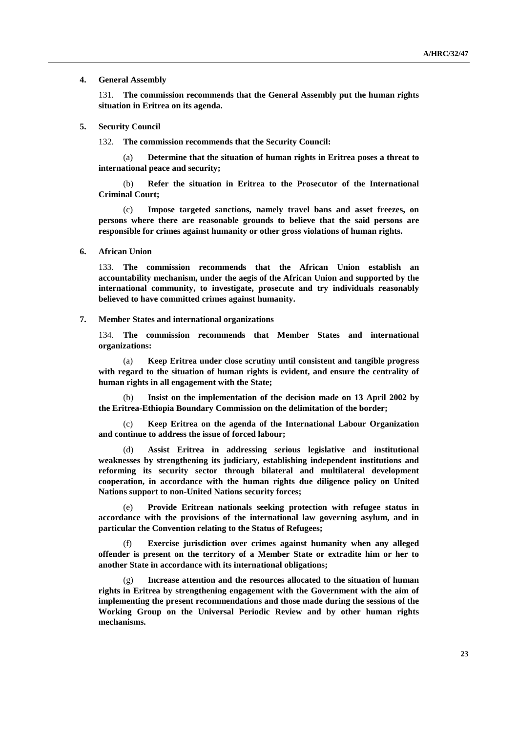#### **4. General Assembly**

131. **The commission recommends that the General Assembly put the human rights situation in Eritrea on its agenda.**

#### **5. Security Council**

132. **The commission recommends that the Security Council:**

(a) **Determine that the situation of human rights in Eritrea poses a threat to international peace and security;**

(b) **Refer the situation in Eritrea to the Prosecutor of the International Criminal Court;** 

(c) **Impose targeted sanctions, namely travel bans and asset freezes, on persons where there are reasonable grounds to believe that the said persons are responsible for crimes against humanity or other gross violations of human rights.**

#### **6. African Union**

133. **The commission recommends that the African Union establish an accountability mechanism, under the aegis of the African Union and supported by the international community, to investigate, prosecute and try individuals reasonably believed to have committed crimes against humanity.**

#### **7. Member States and international organizations**

134. **The commission recommends that Member States and international organizations:**

(a) **Keep Eritrea under close scrutiny until consistent and tangible progress with regard to the situation of human rights is evident, and ensure the centrality of human rights in all engagement with the State;**

(b) **Insist on the implementation of the decision made on 13 April 2002 by the Eritrea-Ethiopia Boundary Commission on the delimitation of the border;**

(c) **Keep Eritrea on the agenda of the International Labour Organization and continue to address the issue of forced labour;**

(d) **Assist Eritrea in addressing serious legislative and institutional weaknesses by strengthening its judiciary, establishing independent institutions and reforming its security sector through bilateral and multilateral development cooperation, in accordance with the human rights due diligence policy on United Nations support to non-United Nations security forces;**

(e) **Provide Eritrean nationals seeking protection with refugee status in accordance with the provisions of the international law governing asylum, and in particular the Convention relating to the Status of Refugees;**

Exercise jurisdiction over crimes against humanity when any alleged **offender is present on the territory of a Member State or extradite him or her to another State in accordance with its international obligations;** 

Increase attention and the resources allocated to the situation of human **rights in Eritrea by strengthening engagement with the Government with the aim of implementing the present recommendations and those made during the sessions of the Working Group on the Universal Periodic Review and by other human rights mechanisms.**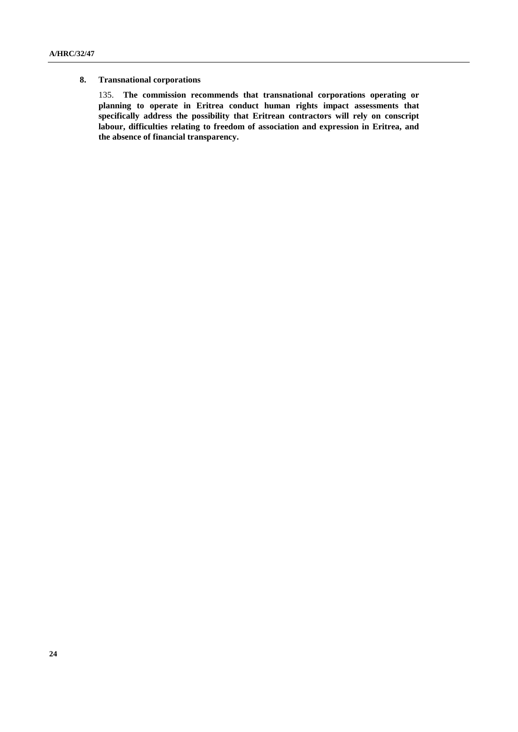#### **8. Transnational corporations**

135. **The commission recommends that transnational corporations operating or planning to operate in Eritrea conduct human rights impact assessments that specifically address the possibility that Eritrean contractors will rely on conscript labour, difficulties relating to freedom of association and expression in Eritrea, and the absence of financial transparency.**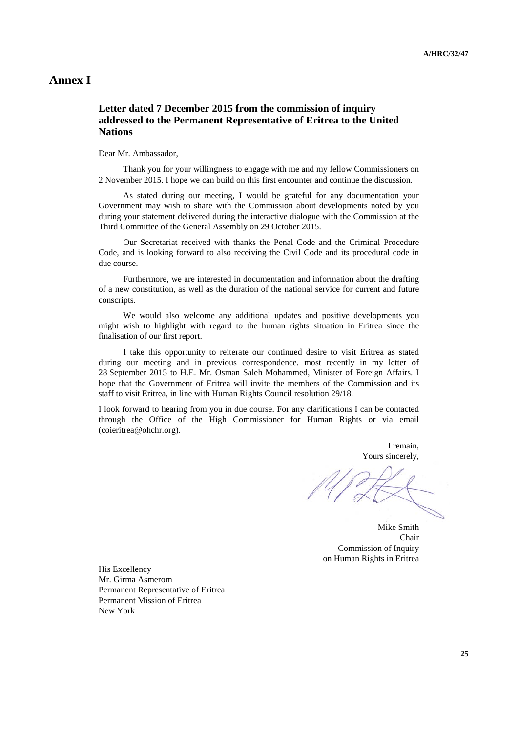# **Annex I**

# **Letter dated 7 December 2015 from the commission of inquiry addressed to the Permanent Representative of Eritrea to the United Nations**

Dear Mr. Ambassador,

Thank you for your willingness to engage with me and my fellow Commissioners on 2 November 2015. I hope we can build on this first encounter and continue the discussion.

As stated during our meeting, I would be grateful for any documentation your Government may wish to share with the Commission about developments noted by you during your statement delivered during the interactive dialogue with the Commission at the Third Committee of the General Assembly on 29 October 2015.

Our Secretariat received with thanks the Penal Code and the Criminal Procedure Code, and is looking forward to also receiving the Civil Code and its procedural code in due course.

Furthermore, we are interested in documentation and information about the drafting of a new constitution, as well as the duration of the national service for current and future conscripts.

We would also welcome any additional updates and positive developments you might wish to highlight with regard to the human rights situation in Eritrea since the finalisation of our first report.

I take this opportunity to reiterate our continued desire to visit Eritrea as stated during our meeting and in previous correspondence, most recently in my letter of 28 September 2015 to H.E. Mr. Osman Saleh Mohammed, Minister of Foreign Affairs. I hope that the Government of Eritrea will invite the members of the Commission and its staff to visit Eritrea, in line with Human Rights Council resolution 29/18.

I look forward to hearing from you in due course. For any clarifications I can be contacted through the Office of the High Commissioner for Human Rights or via email [\(coieritrea@ohchr.org\)](mailto:coieritrea@ohchr.org).

> I remain, Yours sincerely,

Mike Smith Chair Commission of Inquiry on Human Rights in Eritrea

His Excellency Mr. Girma Asmerom Permanent Representative of Eritrea Permanent Mission of Eritrea New York